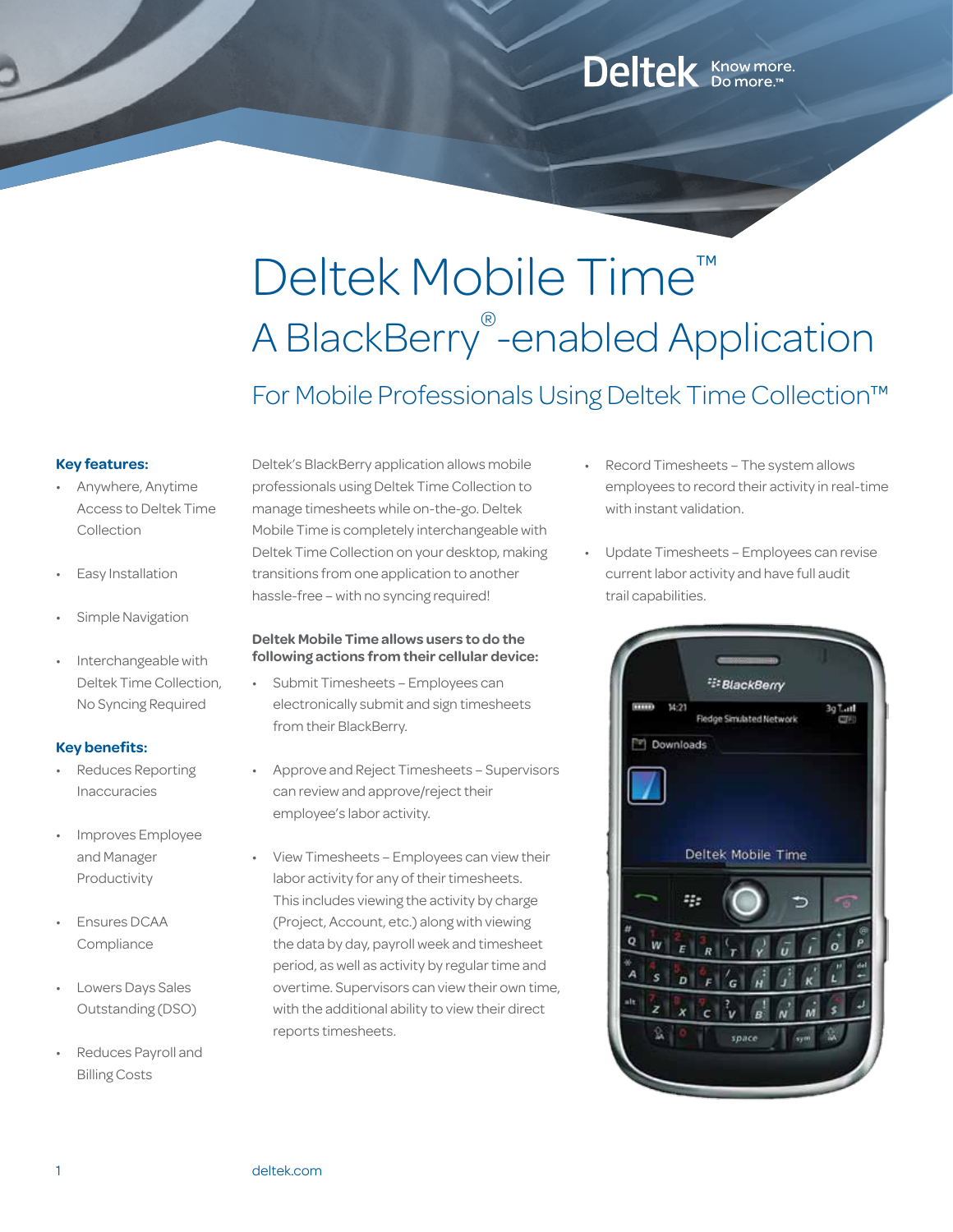# Deltek Mobile Time™ A BlackBerry® -enabled Application

For Mobile Professionals Using Deltek Time Collection™

### **Key features:**

- Anywhere, Anytime Access to Deltek Time Collection
- Easy Installation
- Simple Navigation
- Interchangeable with Deltek Time Collection, No Syncing Required

# **Key benefits:**

- Reduces Reporting Inaccuracies
- Improves Employee and Manager Productivity
- **Ensures DCAA** Compliance
- Lowers Days Sales Outstanding (DSO)
- Reduces Payroll and Billing Costs

Deltek's BlackBerry application allows mobile professionals using Deltek Time Collection to manage timesheets while on-the-go. Deltek Mobile Time is completely interchangeable with Deltek Time Collection on your desktop, making transitions from one application to another hassle-free – with no syncing required!

### **Deltek Mobile Time allows users to do the following actions from their cellular device:**

- Submit Timesheets Employees can electronically submit and sign timesheets from their BlackBerry.
- Approve and Reject Timesheets Supervisors can review and approve/reject their employee's labor activity.
- View Timesheets Employees can view their labor activity for any of their timesheets. This includes viewing the activity by charge (Project, Account, etc.) along with viewing the data by day, payroll week and timesheet period, as well as activity by regular time and overtime. Supervisors can view their own time, with the additional ability to view their direct reports timesheets.

Record Timesheets - The system allows employees to record their activity in real-time with instant validation.

Deltek Know more.

Update Timesheets – Employees can revise current labor activity and have full audit trail capabilities.